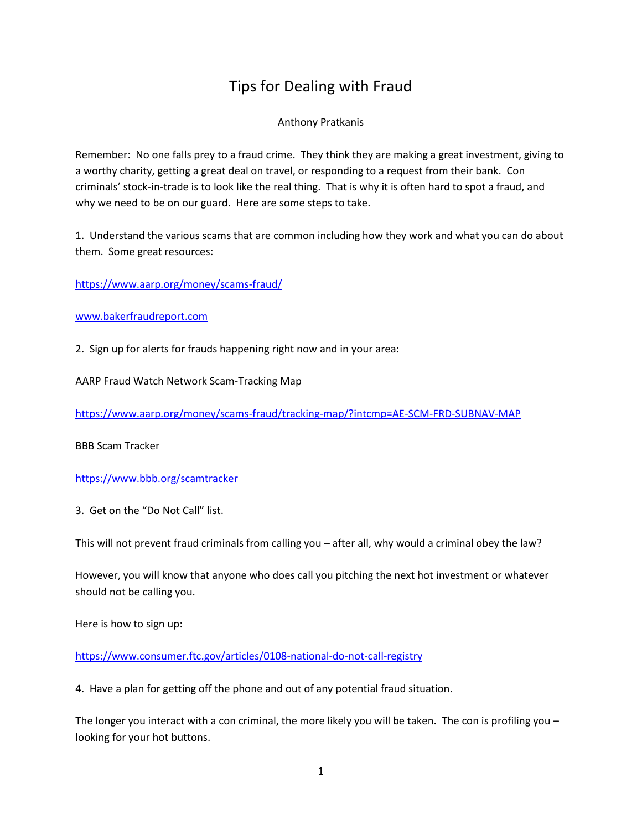# Tips for Dealing with Fraud

#### Anthony Pratkanis

Remember: No one falls prey to a fraud crime. They think they are making a great investment, giving to a worthy charity, getting a great deal on travel, or responding to a request from their bank. Con criminals' stock-in-trade is to look like the real thing. That is why it is often hard to spot a fraud, and why we need to be on our guard. Here are some steps to take.

1. Understand the various scams that are common including how they work and what you can do about them. Some great resources:

<https://www.aarp.org/money/scams-fraud/>

[www.bakerfraudreport.com](http://www.bakerfraudreport.com/)

2. Sign up for alerts for frauds happening right now and in your area:

AARP Fraud Watch Network Scam-Tracking Map

<https://www.aarp.org/money/scams-fraud/tracking-map/?intcmp=AE-SCM-FRD-SUBNAV-MAP>

BBB Scam Tracker

<https://www.bbb.org/scamtracker>

3. Get on the "Do Not Call" list.

This will not prevent fraud criminals from calling you – after all, why would a criminal obey the law?

However, you will know that anyone who does call you pitching the next hot investment or whatever should not be calling you.

Here is how to sign up:

<https://www.consumer.ftc.gov/articles/0108-national-do-not-call-registry>

4. Have a plan for getting off the phone and out of any potential fraud situation.

The longer you interact with a con criminal, the more likely you will be taken. The con is profiling you looking for your hot buttons.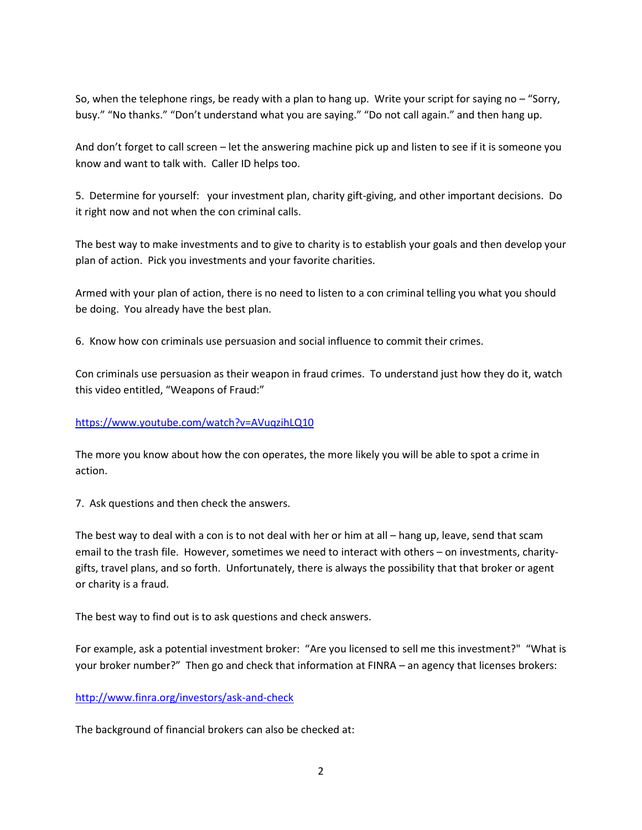So, when the telephone rings, be ready with a plan to hang up. Write your script for saying no – "Sorry, busy." "No thanks." "Don't understand what you are saying." "Do not call again." and then hang up.

And don't forget to call screen – let the answering machine pick up and listen to see if it is someone you know and want to talk with. Caller ID helps too.

5. Determine for yourself: your investment plan, charity gift-giving, and other important decisions. Do it right now and not when the con criminal calls.

The best way to make investments and to give to charity is to establish your goals and then develop your plan of action. Pick you investments and your favorite charities.

Armed with your plan of action, there is no need to listen to a con criminal telling you what you should be doing. You already have the best plan.

6. Know how con criminals use persuasion and social influence to commit their crimes.

Con criminals use persuasion as their weapon in fraud crimes. To understand just how they do it, watch this video entitled, "Weapons of Fraud:"

## <https://www.youtube.com/watch?v=AVuqzihLQ10>

The more you know about how the con operates, the more likely you will be able to spot a crime in action.

7. Ask questions and then check the answers.

The best way to deal with a con is to not deal with her or him at all – hang up, leave, send that scam email to the trash file. However, sometimes we need to interact with others – on investments, charitygifts, travel plans, and so forth. Unfortunately, there is always the possibility that that broker or agent or charity is a fraud.

The best way to find out is to ask questions and check answers.

For example, ask a potential investment broker: "Are you licensed to sell me this investment?" "What is your broker number?" Then go and check that information at FINRA – an agency that licenses brokers:

## <http://www.finra.org/investors/ask-and-check>

The background of financial brokers can also be checked at: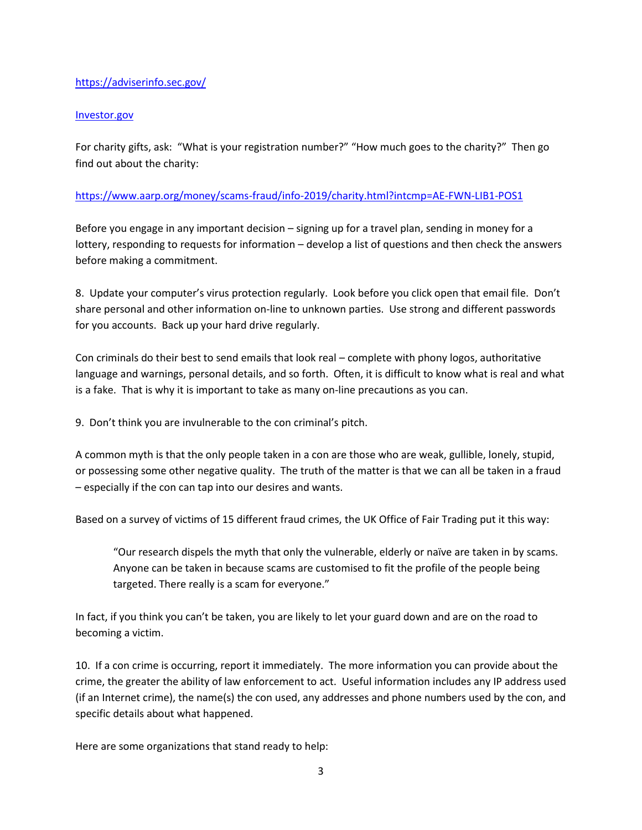## <https://adviserinfo.sec.gov/>

#### Investor.gov

For charity gifts, ask: "What is your registration number?" "How much goes to the charity?" Then go find out about the charity:

## <https://www.aarp.org/money/scams-fraud/info-2019/charity.html?intcmp=AE-FWN-LIB1-POS1>

Before you engage in any important decision – signing up for a travel plan, sending in money for a lottery, responding to requests for information – develop a list of questions and then check the answers before making a commitment.

8. Update your computer's virus protection regularly. Look before you click open that email file. Don't share personal and other information on-line to unknown parties. Use strong and different passwords for you accounts. Back up your hard drive regularly.

Con criminals do their best to send emails that look real – complete with phony logos, authoritative language and warnings, personal details, and so forth. Often, it is difficult to know what is real and what is a fake. That is why it is important to take as many on-line precautions as you can.

9. Don't think you are invulnerable to the con criminal's pitch.

A common myth is that the only people taken in a con are those who are weak, gullible, lonely, stupid, or possessing some other negative quality. The truth of the matter is that we can all be taken in a fraud – especially if the con can tap into our desires and wants.

Based on a survey of victims of 15 different fraud crimes, the UK Office of Fair Trading put it this way:

"Our research dispels the myth that only the vulnerable, elderly or naïve are taken in by scams. Anyone can be taken in because scams are customised to fit the profile of the people being targeted. There really is a scam for everyone."

In fact, if you think you can't be taken, you are likely to let your guard down and are on the road to becoming a victim.

10. If a con crime is occurring, report it immediately. The more information you can provide about the crime, the greater the ability of law enforcement to act. Useful information includes any IP address used (if an Internet crime), the name(s) the con used, any addresses and phone numbers used by the con, and specific details about what happened.

Here are some organizations that stand ready to help: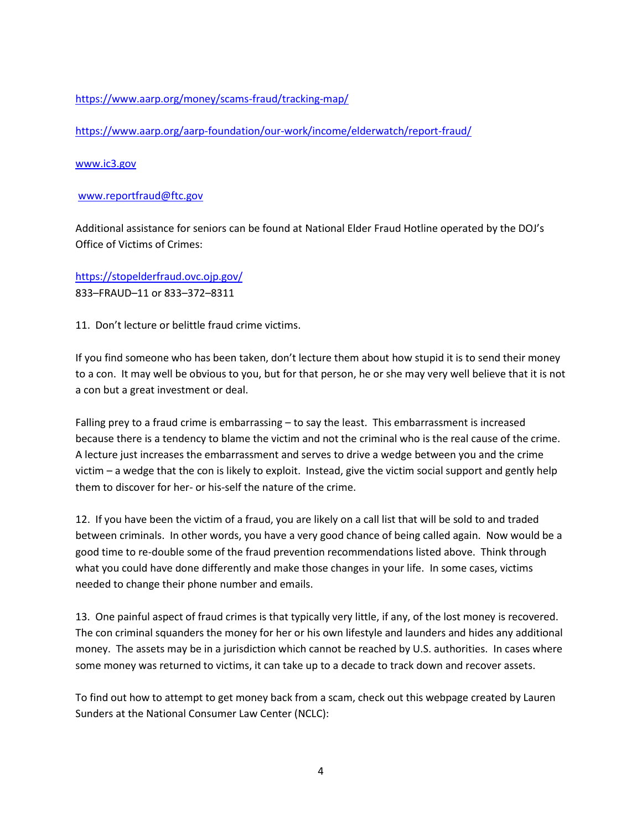## <https://www.aarp.org/money/scams-fraud/tracking-map/>

<https://www.aarp.org/aarp-foundation/our-work/income/elderwatch/report-fraud/>

#### [www.ic3.gov](http://www.ic3.gov/)

#### [www.reportfraud@ftc.gov](http://www.reportfraud@ftc.gov/)

Additional assistance for seniors can be found at National Elder Fraud Hotline operated by the DOJ's Office of Victims of Crimes:

<https://stopelderfraud.ovc.ojp.gov/> 833–FRAUD–11 or 833–372–8311

11. Don't lecture or belittle fraud crime victims.

If you find someone who has been taken, don't lecture them about how stupid it is to send their money to a con. It may well be obvious to you, but for that person, he or she may very well believe that it is not a con but a great investment or deal.

Falling prey to a fraud crime is embarrassing – to say the least. This embarrassment is increased because there is a tendency to blame the victim and not the criminal who is the real cause of the crime. A lecture just increases the embarrassment and serves to drive a wedge between you and the crime victim – a wedge that the con is likely to exploit. Instead, give the victim social support and gently help them to discover for her- or his-self the nature of the crime.

12. If you have been the victim of a fraud, you are likely on a call list that will be sold to and traded between criminals. In other words, you have a very good chance of being called again. Now would be a good time to re-double some of the fraud prevention recommendations listed above. Think through what you could have done differently and make those changes in your life. In some cases, victims needed to change their phone number and emails.

13. One painful aspect of fraud crimes is that typically very little, if any, of the lost money is recovered. The con criminal squanders the money for her or his own lifestyle and launders and hides any additional money. The assets may be in a jurisdiction which cannot be reached by U.S. authorities. In cases where some money was returned to victims, it can take up to a decade to track down and recover assets.

To find out how to attempt to get money back from a scam, check out this webpage created by Lauren Sunders at the National Consumer Law Center (NCLC):